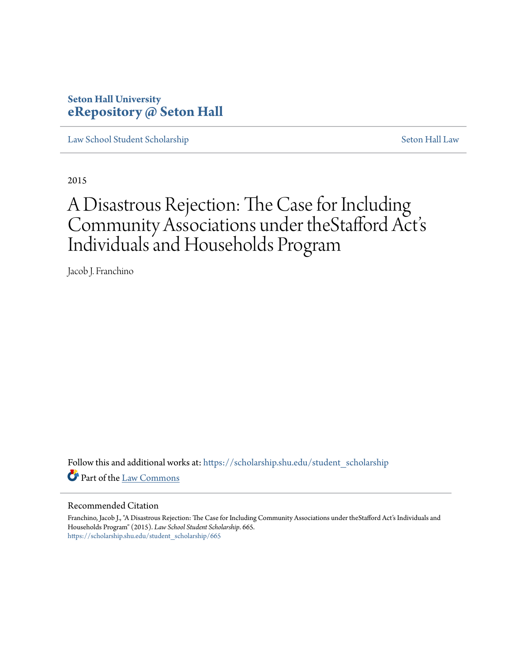## **Seton Hall University [eRepository @ Seton Hall](https://scholarship.shu.edu?utm_source=scholarship.shu.edu%2Fstudent_scholarship%2F665&utm_medium=PDF&utm_campaign=PDFCoverPages)**

[Law School Student Scholarship](https://scholarship.shu.edu/student_scholarship?utm_source=scholarship.shu.edu%2Fstudent_scholarship%2F665&utm_medium=PDF&utm_campaign=PDFCoverPages) [Seton Hall Law](https://scholarship.shu.edu/law?utm_source=scholarship.shu.edu%2Fstudent_scholarship%2F665&utm_medium=PDF&utm_campaign=PDFCoverPages)

2015

# A Disastrous Rejection: The Case for Including Community Associations under theStafford Act' s Individuals and Households Program

Jacob J. Franchino

Follow this and additional works at: [https://scholarship.shu.edu/student\\_scholarship](https://scholarship.shu.edu/student_scholarship?utm_source=scholarship.shu.edu%2Fstudent_scholarship%2F665&utm_medium=PDF&utm_campaign=PDFCoverPages) Part of the [Law Commons](http://network.bepress.com/hgg/discipline/578?utm_source=scholarship.shu.edu%2Fstudent_scholarship%2F665&utm_medium=PDF&utm_campaign=PDFCoverPages)

#### Recommended Citation

Franchino, Jacob J., "A Disastrous Rejection: The Case for Including Community Associations under theStafford Act's Individuals and Households Program" (2015). *Law School Student Scholarship*. 665. [https://scholarship.shu.edu/student\\_scholarship/665](https://scholarship.shu.edu/student_scholarship/665?utm_source=scholarship.shu.edu%2Fstudent_scholarship%2F665&utm_medium=PDF&utm_campaign=PDFCoverPages)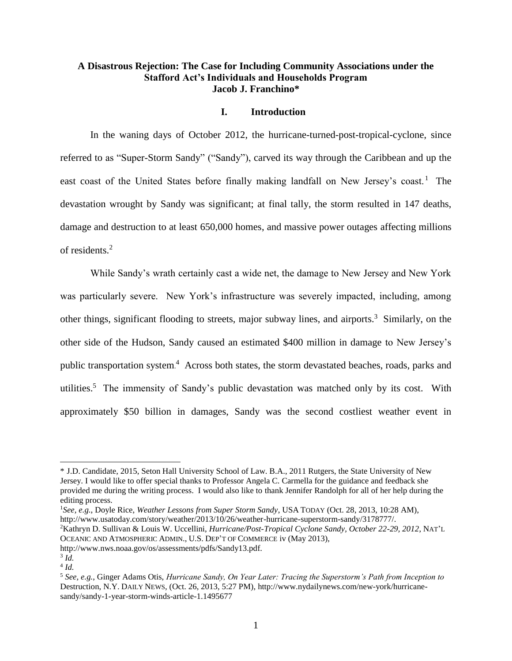#### **A Disastrous Rejection: The Case for Including Community Associations under the Stafford Act's Individuals and Households Program Jacob J. Franchino\***

#### <span id="page-1-0"></span>**I. Introduction**

In the waning days of October 2012, the hurricane-turned-post-tropical-cyclone, since referred to as "Super-Storm Sandy" ("Sandy"), carved its way through the Caribbean and up the east coast of the United States before finally making landfall on New Jersey's coast.<sup>1</sup> The devastation wrought by Sandy was significant; at final tally, the storm resulted in 147 deaths, damage and destruction to at least 650,000 homes, and massive power outages affecting millions of residents. 2

While Sandy's wrath certainly cast a wide net, the damage to New Jersey and New York was particularly severe. New York's infrastructure was severely impacted, including, among other things, significant flooding to streets, major subway lines, and airports. <sup>3</sup> Similarly, on the other side of the Hudson, Sandy caused an estimated \$400 million in damage to New Jersey's public transportation system.<sup>4</sup> Across both states, the storm devastated beaches, roads, parks and utilities. 5 The immensity of Sandy's public devastation was matched only by its cost. With approximately \$50 billion in damages, Sandy was the second costliest weather event in

<sup>1</sup>*See, e.g.*, Doyle Rice, *Weather Lessons from Super Storm Sandy*, USA TODAY (Oct. 28, 2013, 10:28 AM), http://www.usatoday.com/story/weather/2013/10/26/weather-hurricane-superstorm-sandy/3178777/. <sup>2</sup>Kathryn D. Sullivan & Louis W. Uccellini, *Hurricane/Post-Tropical Cyclone Sandy, October 22-29, 2012*, NAT'L

- OCEANIC AND ATMOSPHERIC ADMIN., U.S. DEP'T OF COMMERCE iv (May 2013),
- http://www.nws.noaa.gov/os/assessments/pdfs/Sandy13.pdf.

<sup>\*</sup> J.D. Candidate, 2015, Seton Hall University School of Law. B.A., 2011 Rutgers, the State University of New Jersey. I would like to offer special thanks to Professor Angela C. Carmella for the guidance and feedback she provided me during the writing process. I would also like to thank Jennifer Randolph for all of her help during the editing process.

<sup>3</sup> *Id.* 4 *Id.*

<sup>5</sup> *See, e.g.*, Ginger Adams Otis, *Hurricane Sandy, On Year Later: Tracing the Superstorm's Path from Inception to*  Destruction, N.Y. DAILY NEWS, (Oct. 26, 2013, 5:27 PM), http://www.nydailynews.com/new-york/hurricanesandy/sandy-1-year-storm-winds-article-1.1495677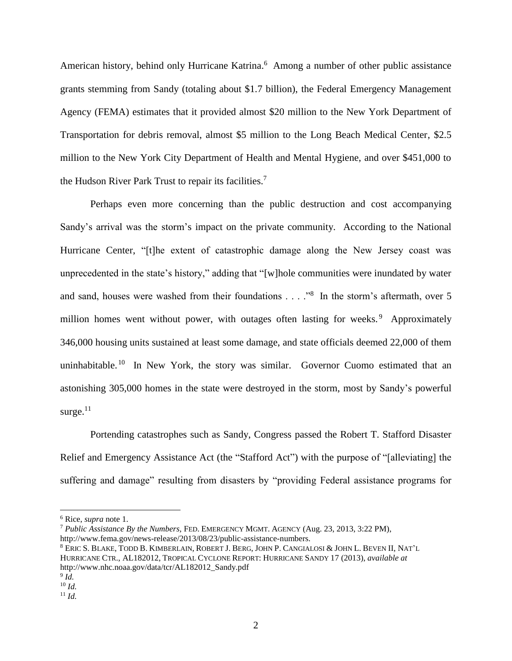American history, behind only Hurricane Katrina.<sup>6</sup> Among a number of other public assistance grants stemming from Sandy (totaling about \$1.7 billion), the Federal Emergency Management Agency (FEMA) estimates that it provided almost \$20 million to the New York Department of Transportation for debris removal, almost \$5 million to the Long Beach Medical Center, \$2.5 million to the New York City Department of Health and Mental Hygiene, and over \$451,000 to the Hudson River Park Trust to repair its facilities.<sup>7</sup>

Perhaps even more concerning than the public destruction and cost accompanying Sandy's arrival was the storm's impact on the private community. According to the National Hurricane Center, "[t]he extent of catastrophic damage along the New Jersey coast was unprecedented in the state's history," adding that "[w]hole communities were inundated by water and sand, houses were washed from their foundations . . . . "<sup>8</sup> In the storm's aftermath, over 5 million homes went without power, with outages often lasting for weeks.<sup>9</sup> Approximately 346,000 housing units sustained at least some damage, and state officials deemed 22,000 of them uninhabitable.<sup>10</sup> In New York, the story was similar. Governor Cuomo estimated that an astonishing 305,000 homes in the state were destroyed in the storm, most by Sandy's powerful surge. $^{11}$ 

Portending catastrophes such as Sandy, Congress passed the Robert T. Stafford Disaster Relief and Emergency Assistance Act (the "Stafford Act") with the purpose of "[alleviating] the suffering and damage" resulting from disasters by "providing Federal assistance programs for

<sup>6</sup> Rice, *supra* note [1.](#page-1-0)

<sup>7</sup> *Public Assistance By the Numbers,* FED. EMERGENCY MGMT. AGENCY (Aug. 23, 2013, 3:22 PM), http://www.fema.gov/news-release/2013/08/23/public-assistance-numbers.

<sup>8</sup> ERIC S. BLAKE, TODD B. KIMBERLAIN, ROBERT J. BERG, JOHN P. CANGIALOSI & JOHN L. BEVEN II, NAT'L HURRICANE CTR., AL182012, TROPICAL CYCLONE REPORT: HURRICANE SANDY 17 (2013), *available at*  http://www.nhc.noaa.gov/data/tcr/AL182012\_Sandy.pdf

<sup>9</sup> *Id.*

<sup>10</sup> *Id.*

 $11$  *Id.*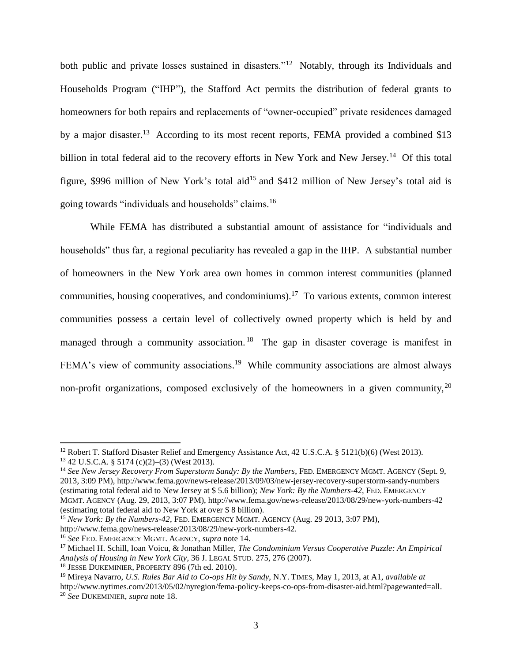both public and private losses sustained in disasters."<sup>12</sup> Notably, through its Individuals and Households Program ("IHP"), the Stafford Act permits the distribution of federal grants to homeowners for both repairs and replacements of "owner-occupied" private residences damaged by a major disaster.<sup>13</sup> According to its most recent reports, FEMA provided a combined \$13 billion in total federal aid to the recovery efforts in New York and New Jersey.<sup>14</sup> Of this total figure, \$996 million of New York's total aid<sup>15</sup> and \$412 million of New Jersey's total aid is going towards "individuals and households" claims.<sup>16</sup>

<span id="page-3-3"></span><span id="page-3-0"></span>While FEMA has distributed a substantial amount of assistance for "individuals and households" thus far, a regional peculiarity has revealed a gap in the IHP. A substantial number of homeowners in the New York area own homes in common interest communities (planned communities, housing cooperatives, and condominiums).<sup>17</sup> To various extents, common interest communities possess a certain level of collectively owned property which is held by and managed through a community association.<sup>18</sup> The gap in disaster coverage is manifest in FEMA's view of community associations.<sup>19</sup> While community associations are almost always non-profit organizations, composed exclusively of the homeowners in a given community,<sup>20</sup>

<span id="page-3-2"></span><span id="page-3-1"></span><sup>&</sup>lt;sup>12</sup> Robert T. Stafford Disaster Relief and Emergency Assistance Act, 42 U.S.C.A. § 5121(b)(6) (West 2013).

<sup>13</sup> 42 U.S.C.A. § 5174 (c)(2)–(3) (West 2013).

<sup>14</sup> *See New Jersey Recovery From Superstorm Sandy: By the Numbers*, FED. EMERGENCY MGMT. AGENCY (Sept. 9, 2013, 3:09 PM), http://www.fema.gov/news-release/2013/09/03/new-jersey-recovery-superstorm-sandy-numbers (estimating total federal aid to New Jersey at \$ 5.6 billion); *New York: By the Numbers-42*, FED. EMERGENCY MGMT. AGENCY (Aug. 29, 2013, 3:07 PM), http://www.fema.gov/news-release/2013/08/29/new-york-numbers-42 (estimating total federal aid to New York at over \$ 8 billion).

<sup>15</sup> *New York: By the Numbers-42*, FED. EMERGENCY MGMT. AGENCY (Aug. 29 2013, 3:07 PM), http://www.fema.gov/news-release/2013/08/29/new-york-numbers-42.

<sup>16</sup> *See* FED. EMERGENCY MGMT. AGENCY, *supra* note [14.](#page-3-0)

<sup>17</sup> Michael H. Schill, Ioan Voicu, & Jonathan Miller, *The Condominium Versus Cooperative Puzzle: An Empirical Analysis of Housing in New York City*, 36 J. LEGAL STUD. 275, 276 (2007).

<sup>&</sup>lt;sup>18</sup> JESSE DUKEMINIER, PROPERTY 896 (7th ed. 2010).

<sup>19</sup> Mireya Navarro, *U.S. Rules Bar Aid to Co-ops Hit by Sandy*, N.Y. TIMES, May 1, 2013, at A1, *available at* http://www.nytimes.com/2013/05/02/nyregion/fema-policy-keeps-co-ops-from-disaster-aid.html?pagewanted=all. <sup>20</sup> *See* DUKEMINIER, *supra* note [18.](#page-3-1)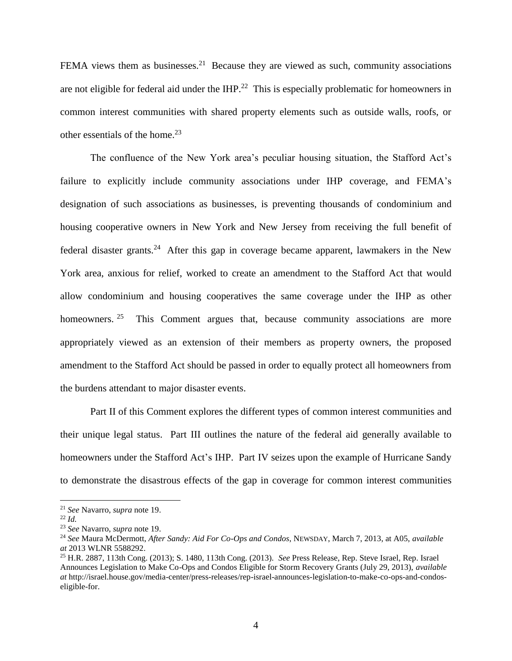FEMA views them as businesses.<sup>21</sup> Because they are viewed as such, community associations are not eligible for federal aid under the IHP. $^{22}$  This is especially problematic for homeowners in common interest communities with shared property elements such as outside walls, roofs, or other essentials of the home.<sup>23</sup>

<span id="page-4-0"></span>The confluence of the New York area's peculiar housing situation, the Stafford Act's failure to explicitly include community associations under IHP coverage, and FEMA's designation of such associations as businesses, is preventing thousands of condominium and housing cooperative owners in New York and New Jersey from receiving the full benefit of federal disaster grants.<sup>24</sup> After this gap in coverage became apparent, lawmakers in the New York area, anxious for relief, worked to create an amendment to the Stafford Act that would allow condominium and housing cooperatives the same coverage under the IHP as other homeowners.<sup>25</sup> This Comment argues that, because community associations are more appropriately viewed as an extension of their members as property owners, the proposed amendment to the Stafford Act should be passed in order to equally protect all homeowners from the burdens attendant to major disaster events.

Part II of this Comment explores the different types of common interest communities and their unique legal status. Part III outlines the nature of the federal aid generally available to homeowners under the Stafford Act's IHP. Part IV seizes upon the example of Hurricane Sandy to demonstrate the disastrous effects of the gap in coverage for common interest communities

<sup>21</sup> *See* Navarro, *supra* note [19.](#page-3-2)

<sup>22</sup> *Id.*

<sup>23</sup> *See* Navarro, *supra* note [19.](#page-3-2)

<sup>24</sup> *See* Maura McDermott, *After Sandy: Aid For Co-Ops and Condos*, NEWSDAY, March 7, 2013, at A05, *available at* 2013 WLNR 5588292.

<sup>25</sup> H.R. 2887, 113th Cong. (2013); S. 1480, 113th Cong. (2013). *See* Press Release, Rep. Steve Israel, Rep. Israel Announces Legislation to Make Co-Ops and Condos Eligible for Storm Recovery Grants (July 29, 2013), *available at* http://israel.house.gov/media-center/press-releases/rep-israel-announces-legislation-to-make-co-ops-and-condoseligible-for.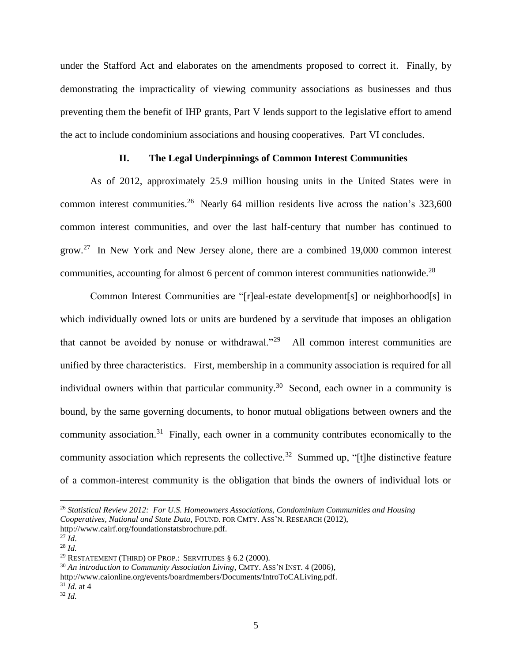under the Stafford Act and elaborates on the amendments proposed to correct it. Finally, by demonstrating the impracticality of viewing community associations as businesses and thus preventing them the benefit of IHP grants, Part V lends support to the legislative effort to amend the act to include condominium associations and housing cooperatives. Part VI concludes.

#### **II. The Legal Underpinnings of Common Interest Communities**

As of 2012, approximately 25.9 million housing units in the United States were in common interest communities.<sup>26</sup> Nearly 64 million residents live across the nation's  $323,600$ common interest communities, and over the last half-century that number has continued to grow.<sup>27</sup> In New York and New Jersey alone, there are a combined 19,000 common interest communities, accounting for almost 6 percent of common interest communities nationwide.<sup>28</sup>

<span id="page-5-0"></span>Common Interest Communities are "[r]eal-estate development[s] or neighborhood[s] in which individually owned lots or units are burdened by a servitude that imposes an obligation that cannot be avoided by nonuse or withdrawal."<sup>29</sup> All common interest communities are unified by three characteristics. First, membership in a community association is required for all individual owners within that particular community.<sup>30</sup> Second, each owner in a community is bound, by the same governing documents, to honor mutual obligations between owners and the community association.<sup>31</sup> Finally, each owner in a community contributes economically to the community association which represents the collective.<sup>32</sup> Summed up, "[t]he distinctive feature of a common-interest community is the obligation that binds the owners of individual lots or

 $\overline{\phantom{a}}$ 

<sup>31</sup> *Id.* at 4

<sup>26</sup> *Statistical Review 2012: For U.S. Homeowners Associations, Condominium Communities and Housing Cooperatives, National and State Data*, FOUND. FOR CMTY. ASS'N. RESEARCH (2012), http://www.cairf.org/foundationstatsbrochure.pdf.

 $^{27}$  *Id.* 

<sup>28</sup> *Id.*

<sup>&</sup>lt;sup>29</sup> RESTATEMENT (THIRD) OF PROP.: SERVITUDES  $§ 6.2 (2000)$ .

<sup>&</sup>lt;sup>30</sup> An introduction to Community Association Living, CMTY. ASS'N INST. 4 (2006),

http://www.caionline.org/events/boardmembers/Documents/IntroToCALiving.pdf.

<sup>32</sup> *Id.*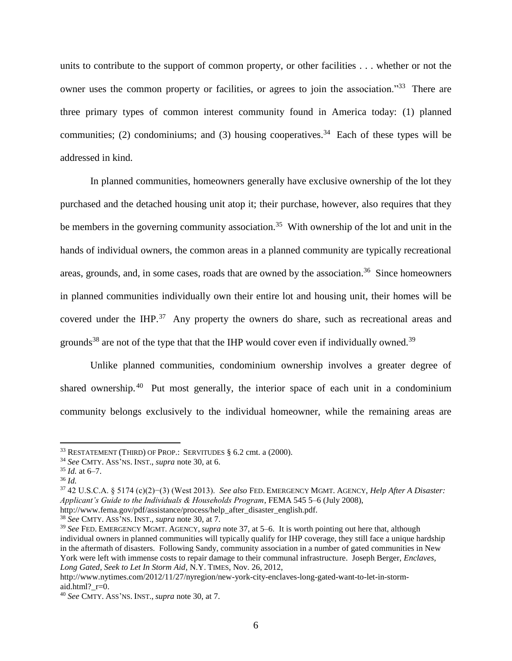units to contribute to the support of common property, or other facilities . . . whether or not the owner uses the common property or facilities, or agrees to join the association."<sup>33</sup> There are three primary types of common interest community found in America today: (1) planned communities; (2) condominiums; and (3) housing cooperatives.<sup>34</sup> Each of these types will be addressed in kind.

In planned communities, homeowners generally have exclusive ownership of the lot they purchased and the detached housing unit atop it; their purchase, however, also requires that they be members in the governing community association.<sup>35</sup> With ownership of the lot and unit in the hands of individual owners, the common areas in a planned community are typically recreational areas, grounds, and, in some cases, roads that are owned by the association.<sup>36</sup> Since homeowners in planned communities individually own their entire lot and housing unit, their homes will be covered under the IHP.<sup>37</sup> Any property the owners do share, such as recreational areas and grounds<sup>38</sup> are not of the type that that the IHP would cover even if individually owned.<sup>39</sup>

<span id="page-6-0"></span>Unlike planned communities, condominium ownership involves a greater degree of shared ownership.<sup>40</sup> Put most generally, the interior space of each unit in a condominium community belongs exclusively to the individual homeowner, while the remaining areas are

<sup>&</sup>lt;sup>33</sup> RESTATEMENT (THIRD) OF PROP.: SERVITUDES  $\S$  6.2 cmt. a (2000).

<sup>34</sup> *See* CMTY. ASS'NS. INST., *supra* note [30,](#page-5-0) at 6.

 $35$  *Id.* at 6–7.

<sup>36</sup> *Id.*

<sup>37</sup> 42 U.S.C.A. § 5174 (c)(2)−(3) (West 2013). *See also* FED. EMERGENCY MGMT. AGENCY, *Help After A Disaster: Applicant's Guide to the Individuals & Households Program*, FEMA 545 5–6 (July 2008),

http://www.fema.gov/pdf/assistance/process/help\_after\_disaster\_english.pdf.

<sup>38</sup> *See* CMTY. ASS'NS. INST., *supra* note [30,](#page-5-0) at 7.

<sup>39</sup> *See* FED. EMERGENCY MGMT. AGENCY, *supra* note [37,](#page-6-0) at 5–6. It is worth pointing out here that, although individual owners in planned communities will typically qualify for IHP coverage, they still face a unique hardship in the aftermath of disasters. Following Sandy, community association in a number of gated communities in New York were left with immense costs to repair damage to their communal infrastructure. Joseph Berger, *Enclaves, Long Gated, Seek to Let In Storm Aid*, N.Y. TIMES, Nov. 26, 2012,

http://www.nytimes.com/2012/11/27/nyregion/new-york-city-enclaves-long-gated-want-to-let-in-stormaid.html? $r=0$ .

<sup>40</sup> *See* CMTY. ASS'NS. INST., *supra* note [30,](#page-5-0) at 7.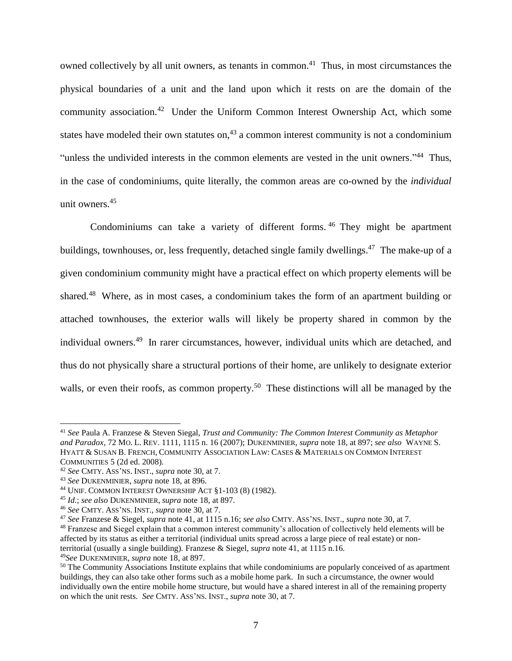<span id="page-7-0"></span>owned collectively by all unit owners, as tenants in common.<sup>41</sup> Thus, in most circumstances the physical boundaries of a unit and the land upon which it rests on are the domain of the community association.<sup>42</sup> Under the Uniform Common Interest Ownership Act, which some states have modeled their own statutes on, $^{43}$  a common interest community is not a condominium "unless the undivided interests in the common elements are vested in the unit owners."<sup>44</sup> Thus, in the case of condominiums, quite literally, the common areas are co-owned by the *individual* unit owners. 45

Condominiums can take a variety of different forms. <sup>46</sup> They might be apartment buildings, townhouses, or, less frequently, detached single family dwellings.<sup>47</sup> The make-up of a given condominium community might have a practical effect on which property elements will be shared.<sup>48</sup> Where, as in most cases, a condominium takes the form of an apartment building or attached townhouses, the exterior walls will likely be property shared in common by the individual owners.<sup>49</sup> In rarer circumstances, however, individual units which are detached, and thus do not physically share a structural portions of their home, are unlikely to designate exterior walls, or even their roofs, as common property.<sup>50</sup> These distinctions will all be managed by the

<span id="page-7-1"></span><sup>41</sup> *See* Paula A. Franzese & Steven Siegal, *Trust and Community: The Common Interest Community as Metaphor and Paradox*, 72 MO. L. REV. 1111, 1115 n. 16 (2007); DUKENMINIER, *supra* note [18,](#page-3-1) at 897; *see also* WAYNE S. HYATT & SUSAN B. FRENCH, COMMUNITY ASSOCIATION LAW: CASES & MATERIALS ON COMMON INTEREST COMMUNITIES 5 (2d ed. 2008).

<sup>42</sup> *See* CMTY. ASS'NS. INST., *supra* note [30,](#page-5-0) at 7.

<sup>43</sup> *See* DUKENMINIER, *supra* note [18,](#page-3-1) at 896.

<sup>44</sup> UNIF. COMMON INTEREST OWNERSHIP ACT §1-103 (8) (1982).

<sup>45</sup> *Id.*; *see also* DUKENMINIER, *supra* note [18,](#page-3-1) at 897.

<sup>46</sup> *See* CMTY. ASS'NS. INST., *supra* note [30,](#page-5-0) at 7.

<sup>47</sup> *See* Franzese & Siegel, *supra* not[e 41,](#page-7-0) at 1115 n.16; *see also* CMTY. ASS'NS. INST., *supra* note [30,](#page-5-0) at 7.

<sup>48</sup> Franzese and Siegel explain that a common interest community's allocation of collectively held elements will be affected by its status as either a territorial (individual units spread across a large piece of real estate) or nonterritorial (usually a single building). Franzese & Siegel, *supra* note [41,](#page-7-0) at 1115 n.16.

<sup>49</sup>*See* DUKENMINIER, *supra* note [18,](#page-3-1) at 897.

<sup>&</sup>lt;sup>50</sup> The Community Associations Institute explains that while condominiums are popularly conceived of as apartment buildings, they can also take other forms such as a mobile home park. In such a circumstance, the owner would individually own the entire mobile home structure, but would have a shared interest in all of the remaining property on which the unit rests. *See* CMTY. ASS'NS. INST., *supra* note [30,](#page-5-0) at 7.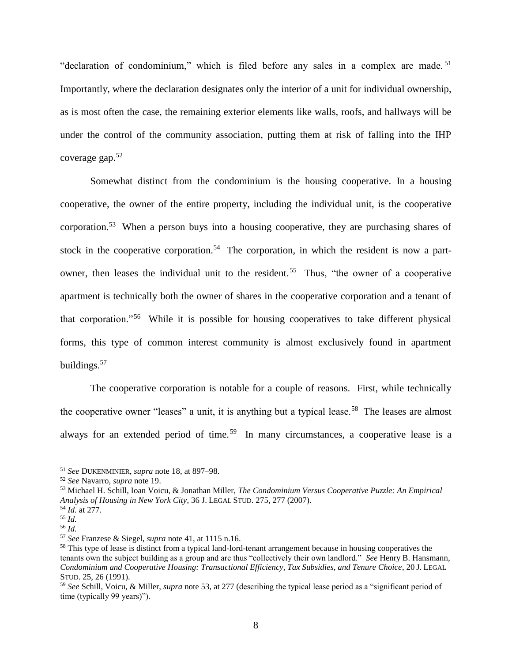"declaration of condominium," which is filed before any sales in a complex are made.<sup>51</sup> Importantly, where the declaration designates only the interior of a unit for individual ownership, as is most often the case, the remaining exterior elements like walls, roofs, and hallways will be under the control of the community association, putting them at risk of falling into the IHP coverage gap. 52

<span id="page-8-0"></span>Somewhat distinct from the condominium is the housing cooperative. In a housing cooperative, the owner of the entire property, including the individual unit, is the cooperative corporation.<sup>53</sup> When a person buys into a housing cooperative, they are purchasing shares of stock in the cooperative corporation.<sup>54</sup> The corporation, in which the resident is now a partowner, then leases the individual unit to the resident.<sup>55</sup> Thus, "the owner of a cooperative apartment is technically both the owner of shares in the cooperative corporation and a tenant of that corporation."<sup>56</sup> While it is possible for housing cooperatives to take different physical forms, this type of common interest community is almost exclusively found in apartment buildings.<sup>57</sup>

<span id="page-8-1"></span>The cooperative corporation is notable for a couple of reasons. First, while technically the cooperative owner "leases" a unit, it is anything but a typical lease.<sup>58</sup> The leases are almost always for an extended period of time.<sup>59</sup> In many circumstances, a cooperative lease is a

<sup>51</sup> *See* DUKENMINIER, *supra* note [18,](#page-3-1) at 897–98.

<sup>52</sup> *See* Navarro, *supra* note [19.](#page-3-2)

<sup>53</sup> Michael H. Schill, Ioan Voicu, & Jonathan Miller, *The Condominium Versus Cooperative Puzzle: An Empirical Analysis of Housing in New York City*, 36 J. LEGAL STUD. 275, 277 (2007).

<sup>54</sup> *Id.* at 277.

<sup>55</sup> *Id.*

<sup>56</sup> *Id.*

<sup>57</sup> *See* Franzese & Siegel, *supra* not[e 41,](#page-7-0) at 1115 n.16.

<sup>&</sup>lt;sup>58</sup> This type of lease is distinct from a typical land-lord-tenant arrangement because in housing cooperatives the tenants own the subject building as a group and are thus "collectively their own landlord." *See* Henry B. Hansmann, *Condominium and Cooperative Housing: Transactional Efficiency, Tax Subsidies, and Tenure Choice*, 20 J. LEGAL STUD. 25, 26 (1991).

<sup>59</sup> *See* Schill, Voicu, & Miller, *supra* note [53,](#page-8-0) at 277 (describing the typical lease period as a "significant period of time (typically 99 years)").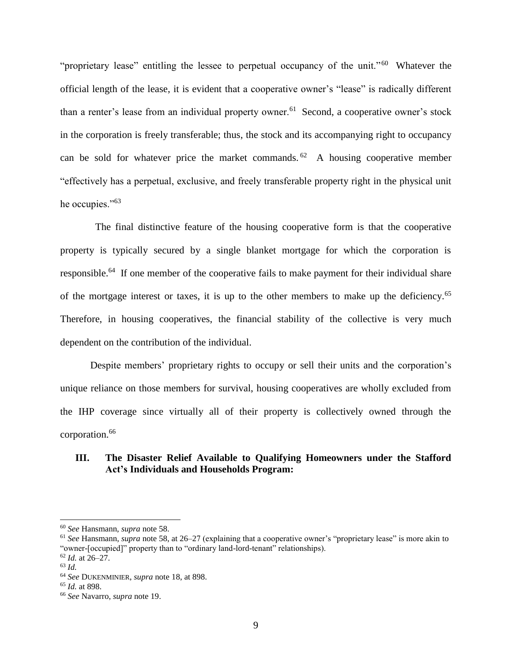"proprietary lease" entitling the lessee to perpetual occupancy of the unit."<sup>60</sup> Whatever the official length of the lease, it is evident that a cooperative owner's "lease" is radically different than a renter's lease from an individual property owner.<sup>61</sup> Second, a cooperative owner's stock in the corporation is freely transferable; thus, the stock and its accompanying right to occupancy can be sold for whatever price the market commands.<sup>62</sup> A housing cooperative member "effectively has a perpetual, exclusive, and freely transferable property right in the physical unit he occupies."<sup>63</sup>

 The final distinctive feature of the housing cooperative form is that the cooperative property is typically secured by a single blanket mortgage for which the corporation is responsible.<sup>64</sup> If one member of the cooperative fails to make payment for their individual share of the mortgage interest or taxes, it is up to the other members to make up the deficiency.<sup>65</sup> Therefore, in housing cooperatives, the financial stability of the collective is very much dependent on the contribution of the individual.

Despite members' proprietary rights to occupy or sell their units and the corporation's unique reliance on those members for survival, housing cooperatives are wholly excluded from the IHP coverage since virtually all of their property is collectively owned through the corporation.<sup>66</sup>

#### **III. The Disaster Relief Available to Qualifying Homeowners under the Stafford Act's Individuals and Households Program:**

<sup>60</sup> *See* Hansmann, *supra* note [58.](#page-8-1)

<sup>61</sup> *See* Hansmann, *supra* note [58,](#page-8-1) at 26–27 (explaining that a cooperative owner's "proprietary lease" is more akin to "owner-[occupied]" property than to "ordinary land-lord-tenant" relationships).

<sup>62</sup> *Id.* at 26–27.

<sup>63</sup> *Id.*

<sup>64</sup> *See* DUKENMINIER, *supra* note [18,](#page-3-1) at 898.

<sup>65</sup> *Id.* at 898.

<sup>66</sup> *See* Navarro, *supra* note [19.](#page-3-2)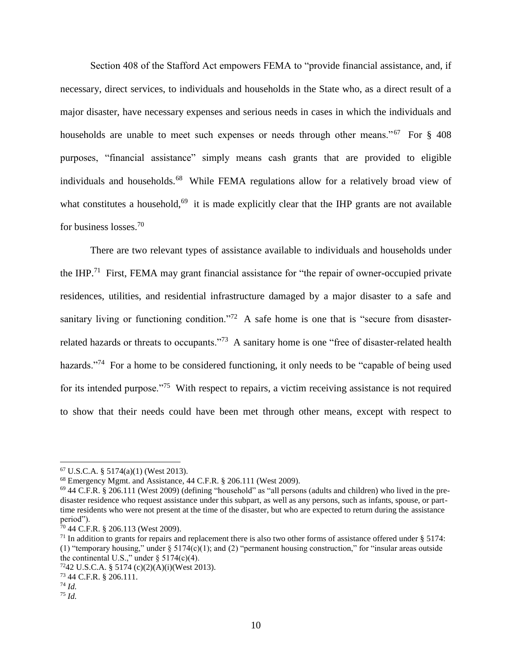Section 408 of the Stafford Act empowers FEMA to "provide financial assistance, and, if necessary, direct services, to individuals and households in the State who, as a direct result of a major disaster, have necessary expenses and serious needs in cases in which the individuals and households are unable to meet such expenses or needs through other means." $67$  For § 408 purposes, "financial assistance" simply means cash grants that are provided to eligible individuals and households.<sup>68</sup> While FEMA regulations allow for a relatively broad view of what constitutes a household, $69$  it is made explicitly clear that the IHP grants are not available for business losses.<sup>70</sup>

There are two relevant types of assistance available to individuals and households under the IHP.<sup>71</sup> First, FEMA may grant financial assistance for "the repair of owner-occupied private residences, utilities, and residential infrastructure damaged by a major disaster to a safe and sanitary living or functioning condition."<sup>72</sup> A safe home is one that is "secure from disasterrelated hazards or threats to occupants."<sup>73</sup> A sanitary home is one "free of disaster-related health hazards."<sup>74</sup> For a home to be considered functioning, it only needs to be "capable of being used for its intended purpose."<sup>75</sup> With respect to repairs, a victim receiving assistance is not required to show that their needs could have been met through other means, except with respect to

 $67$  U.S.C.A. § 5174(a)(1) (West 2013).

<sup>68</sup> Emergency Mgmt. and Assistance, 44 C.F.R. § 206.111 (West 2009).

 $69$  44 C.F.R. § 206.111 (West 2009) (defining "household" as "all persons (adults and children) who lived in the predisaster residence who request assistance under this subpart, as well as any persons, such as infants, spouse, or parttime residents who were not present at the time of the disaster, but who are expected to return during the assistance period").

 $70$  44 C.F.R. § 206.113 (West 2009).

 $71$  In addition to grants for repairs and replacement there is also two other forms of assistance offered under § 5174: (1) "temporary housing," under  $\S 5174(c)(1)$ ; and (2) "permanent housing construction," for "insular areas outside the continental U.S.," under  $\S 5174(c)(4)$ .

 $7242$  U.S.C.A. § 5174 (c)(2)(A)(i)(West 2013).

<sup>73</sup> 44 C.F.R. § 206.111.

<sup>74</sup> *Id.*

<sup>75</sup> *Id.*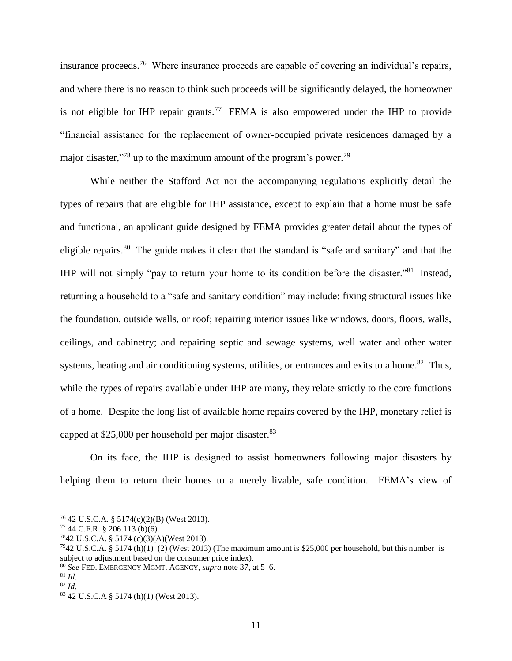insurance proceeds.<sup>76</sup> Where insurance proceeds are capable of covering an individual's repairs, and where there is no reason to think such proceeds will be significantly delayed, the homeowner is not eligible for IHP repair grants.<sup>77</sup> FEMA is also empowered under the IHP to provide "financial assistance for the replacement of owner-occupied private residences damaged by a major disaster,"<sup>78</sup> up to the maximum amount of the program's power.<sup>79</sup>

While neither the Stafford Act nor the accompanying regulations explicitly detail the types of repairs that are eligible for IHP assistance, except to explain that a home must be safe and functional, an applicant guide designed by FEMA provides greater detail about the types of eligible repairs.<sup>80</sup> The guide makes it clear that the standard is "safe and sanitary" and that the IHP will not simply "pay to return your home to its condition before the disaster."<sup>81</sup> Instead, returning a household to a "safe and sanitary condition" may include: fixing structural issues like the foundation, outside walls, or roof; repairing interior issues like windows, doors, floors, walls, ceilings, and cabinetry; and repairing septic and sewage systems, well water and other water systems, heating and air conditioning systems, utilities, or entrances and exits to a home.<sup>82</sup> Thus, while the types of repairs available under IHP are many, they relate strictly to the core functions of a home. Despite the long list of available home repairs covered by the IHP, monetary relief is capped at \$25,000 per household per major disaster.<sup>83</sup>

On its face, the IHP is designed to assist homeowners following major disasters by helping them to return their homes to a merely livable, safe condition. FEMA's view of

<sup>76</sup> 42 U.S.C.A. § 5174(c)(2)(B) (West 2013).

<sup>77</sup> 44 C.F.R. § 206.113 (b)(6).

<sup>78</sup>42 U.S.C.A. § 5174 (c)(3)(A)(West 2013).

 $7942$  U.S.C.A. § 5174 (h)(1)–(2) (West 2013) (The maximum amount is \$25,000 per household, but this number is subject to adjustment based on the consumer price index).

<sup>80</sup> *See* FED. EMERGENCY MGMT. AGENCY, *supra* note [37,](#page-6-0) at 5–6.

<sup>81</sup> *Id.*

<sup>82</sup> *Id.*

<sup>83</sup> 42 U.S.C.A § 5174 (h)(1) (West 2013).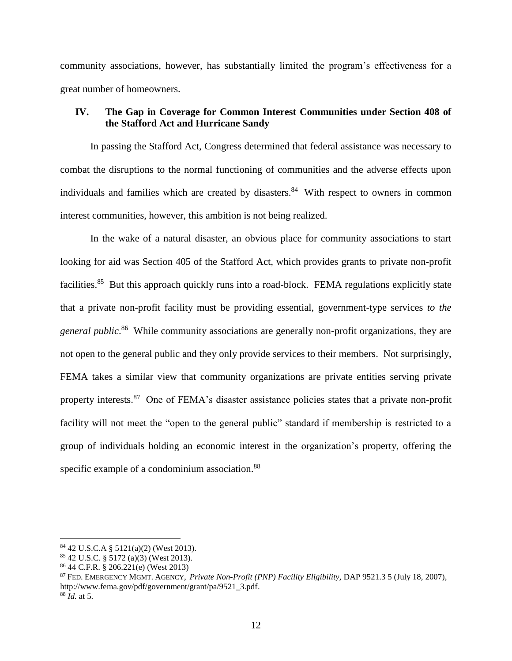community associations, however, has substantially limited the program's effectiveness for a great number of homeowners.

#### **IV. The Gap in Coverage for Common Interest Communities under Section 408 of the Stafford Act and Hurricane Sandy**

In passing the Stafford Act, Congress determined that federal assistance was necessary to combat the disruptions to the normal functioning of communities and the adverse effects upon individuals and families which are created by disasters.<sup>84</sup> With respect to owners in common interest communities, however, this ambition is not being realized.

In the wake of a natural disaster, an obvious place for community associations to start looking for aid was Section 405 of the Stafford Act, which provides grants to private non-profit facilities.<sup>85</sup> But this approach quickly runs into a road-block. FEMA regulations explicitly state that a private non-profit facility must be providing essential, government-type services *to the general public*. <sup>86</sup> While community associations are generally non-profit organizations, they are not open to the general public and they only provide services to their members. Not surprisingly, FEMA takes a similar view that community organizations are private entities serving private property interests.<sup>87</sup> One of FEMA's disaster assistance policies states that a private non-profit facility will not meet the "open to the general public" standard if membership is restricted to a group of individuals holding an economic interest in the organization's property, offering the specific example of a condominium association.<sup>88</sup>

l

<sup>84</sup> 42 U.S.C.A § 5121(a)(2) (West 2013).

<sup>85</sup> 42 U.S.C. § 5172 (a)(3) (West 2013).

<sup>86</sup> 44 C.F.R. § 206.221(e) (West 2013)

<sup>87</sup> FED. EMERGENCY MGMT. AGENCY, *Private Non-Profit (PNP) Facility Eligibility,* DAP 9521.3 5 (July 18, 2007), http://www.fema.gov/pdf/government/grant/pa/9521\_3.pdf. <sup>88</sup> *Id.* at 5.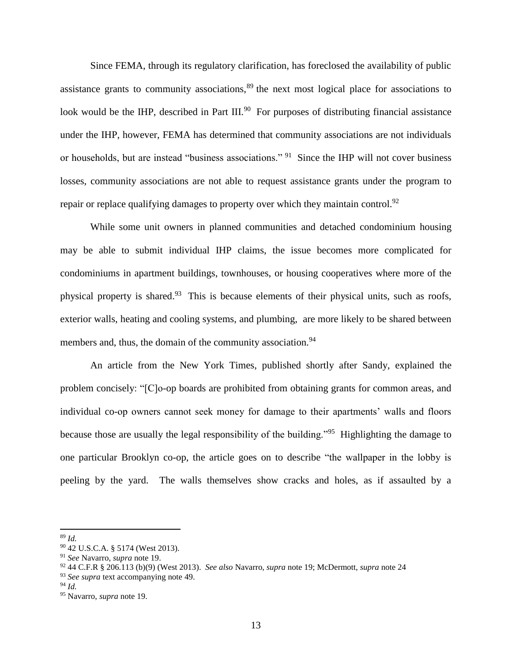Since FEMA, through its regulatory clarification, has foreclosed the availability of public assistance grants to community associations, $89$  the next most logical place for associations to look would be the IHP, described in Part III. $90$  For purposes of distributing financial assistance under the IHP, however, FEMA has determined that community associations are not individuals or households, but are instead "business associations." <sup>91</sup> Since the IHP will not cover business losses, community associations are not able to request assistance grants under the program to repair or replace qualifying damages to property over which they maintain control.<sup>92</sup>

While some unit owners in planned communities and detached condominium housing may be able to submit individual IHP claims, the issue becomes more complicated for condominiums in apartment buildings, townhouses, or housing cooperatives where more of the physical property is shared.<sup>93</sup> This is because elements of their physical units, such as roofs, exterior walls, heating and cooling systems, and plumbing, are more likely to be shared between members and, thus, the domain of the community association.<sup>94</sup>

An article from the New York Times, published shortly after Sandy, explained the problem concisely: "[C]o-op boards are prohibited from obtaining grants for common areas, and individual co-op owners cannot seek money for damage to their apartments' walls and floors because those are usually the legal responsibility of the building."<sup>95</sup> Highlighting the damage to one particular Brooklyn co-op, the article goes on to describe "the wallpaper in the lobby is peeling by the yard. The walls themselves show cracks and holes, as if assaulted by a

<sup>89</sup> *Id.*

<sup>90</sup> 42 U.S.C.A. § 5174 (West 2013).

<sup>91</sup> *See* Navarro, *supra* note [19.](#page-3-2)

<sup>92</sup> 44 C.F.R § 206.113 (b)(9) (West 2013). *See also* Navarro, *supra* not[e 19;](#page-3-2) McDermott, *supra* not[e 24](#page-4-0)

<sup>93</sup> *See supra* text accompanying not[e 49.](#page-7-1)

<sup>94</sup> *Id.*

<sup>95</sup> Navarro, *supra* note [19.](#page-3-2)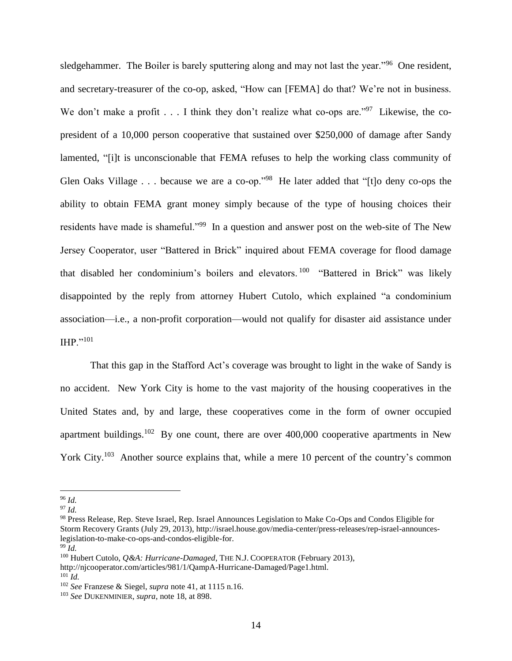<span id="page-14-0"></span>sledgehammer. The Boiler is barely sputtering along and may not last the year."<sup>96</sup> One resident, and secretary-treasurer of the co-op, asked, "How can [FEMA] do that? We're not in business. We don't make a profit  $\dots$  I think they don't realize what co-ops are."<sup>97</sup> Likewise, the copresident of a 10,000 person cooperative that sustained over \$250,000 of damage after Sandy lamented, "[i]t is unconscionable that FEMA refuses to help the working class community of Glen Oaks Village . . . because we are a co-op."<sup>98</sup> He later added that "[t]o deny co-ops the ability to obtain FEMA grant money simply because of the type of housing choices their residents have made is shameful."<sup>99</sup> In a question and answer post on the web-site of The New Jersey Cooperator, user "Battered in Brick" inquired about FEMA coverage for flood damage that disabled her condominium's boilers and elevators.<sup>100</sup> "Battered in Brick" was likely disappointed by the reply from attorney Hubert Cutolo, which explained "a condominium association—i.e., a non-profit corporation—would not qualify for disaster aid assistance under IHP $^{101}$ 

That this gap in the Stafford Act's coverage was brought to light in the wake of Sandy is no accident. New York City is home to the vast majority of the housing cooperatives in the United States and, by and large, these cooperatives come in the form of owner occupied apartment buildings.<sup>102</sup> By one count, there are over 400,000 cooperative apartments in New York City.<sup>103</sup> Another source explains that, while a mere 10 percent of the country's common

 $\overline{\phantom{a}}$ 

<sup>99</sup> *Id.*

<sup>96</sup> *Id.*

<sup>97</sup> *Id.*

<sup>98</sup> Press Release, Rep. Steve Israel, Rep. Israel Announces Legislation to Make Co-Ops and Condos Eligible for Storm Recovery Grants (July 29, 2013), http://israel.house.gov/media-center/press-releases/rep-israel-announceslegislation-to-make-co-ops-and-condos-eligible-for.

<sup>100</sup> Hubert Cutolo, *Q&A: Hurricane-Damaged*, THE N.J. COOPERATOR (February 2013),

http://njcooperator.com/articles/981/1/QampA-Hurricane-Damaged/Page1.html. <sup>101</sup> *Id.*

<sup>102</sup> *See* Franzese & Siegel, *supra* note [41,](#page-7-0) at 1115 n.16.

<sup>103</sup> *See* DUKENMINIER, *supra*, note [18,](#page-3-1) at 898.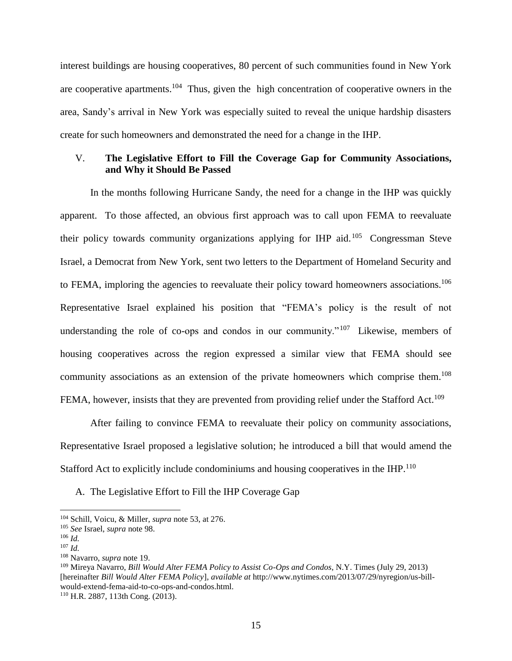interest buildings are housing cooperatives, 80 percent of such communities found in New York are cooperative apartments.<sup>104</sup> Thus, given the high concentration of cooperative owners in the area, Sandy's arrival in New York was especially suited to reveal the unique hardship disasters create for such homeowners and demonstrated the need for a change in the IHP.

#### V. **The Legislative Effort to Fill the Coverage Gap for Community Associations, and Why it Should Be Passed**

In the months following Hurricane Sandy, the need for a change in the IHP was quickly apparent. To those affected, an obvious first approach was to call upon FEMA to reevaluate their policy towards community organizations applying for IHP aid. <sup>105</sup> Congressman Steve Israel, a Democrat from New York, sent two letters to the Department of Homeland Security and to FEMA, imploring the agencies to reevaluate their policy toward homeowners associations.<sup>106</sup> Representative Israel explained his position that "FEMA's policy is the result of not understanding the role of co-ops and condos in our community."<sup>107</sup> Likewise, members of housing cooperatives across the region expressed a similar view that FEMA should see community associations as an extension of the private homeowners which comprise them.<sup>108</sup> FEMA, however, insists that they are prevented from providing relief under the Stafford Act.<sup>109</sup>

After failing to convince FEMA to reevaluate their policy on community associations, Representative Israel proposed a legislative solution; he introduced a bill that would amend the Stafford Act to explicitly include condominiums and housing cooperatives in the IHP.<sup>110</sup>

<span id="page-15-0"></span>A. The Legislative Effort to Fill the IHP Coverage Gap

 $\overline{\phantom{a}}$ 

<sup>110</sup> H.R. 2887, 113th Cong. (2013).

<sup>104</sup> Schill, Voicu, & Miller, *supra* note [53,](#page-8-0) at 276.

<sup>105</sup> *See* Israel, *supra* note [98.](#page-14-0)

<sup>106</sup> *Id.*

<sup>107</sup> *Id.*

<sup>108</sup> Navarro, *supra* note [19.](#page-3-2)

<sup>109</sup> Mireya Navarro, *Bill Would Alter FEMA Policy to Assist Co-Ops and Condos*, N.Y. Times (July 29, 2013) [hereinafter *Bill Would Alter FEMA Policy*], *available at* http://www.nytimes.com/2013/07/29/nyregion/us-billwould-extend-fema-aid-to-co-ops-and-condos.html.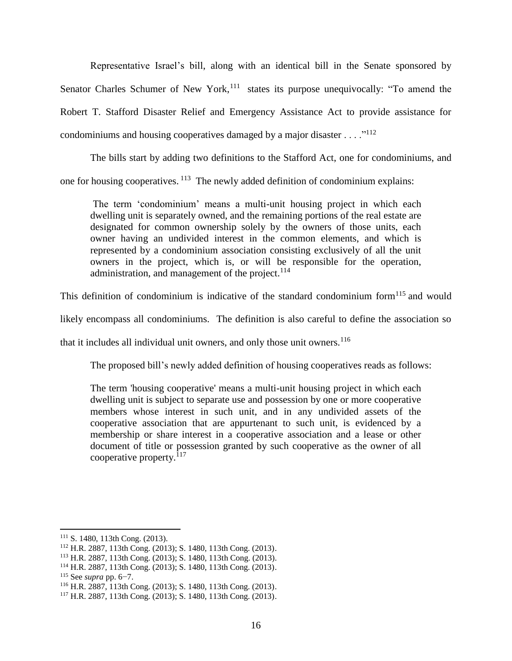Representative Israel's bill, along with an identical bill in the Senate sponsored by Senator Charles Schumer of New York,<sup>111</sup> states its purpose unequivocally: "To amend the Robert T. Stafford Disaster Relief and Emergency Assistance Act to provide assistance for condominiums and housing cooperatives damaged by a major disaster  $\dots$ <sup>112</sup>

The bills start by adding two definitions to the Stafford Act, one for condominiums, and one for housing cooperatives. <sup>113</sup> The newly added definition of condominium explains:

The term 'condominium' means a multi-unit housing project in which each dwelling unit is separately owned, and the remaining portions of the real estate are designated for common ownership solely by the owners of those units, each owner having an undivided interest in the common elements, and which is represented by a condominium association consisting exclusively of all the unit owners in the project, which is, or will be responsible for the operation, administration, and management of the project.<sup>114</sup>

This definition of condominium is indicative of the standard condominium form $^{115}$  and would

likely encompass all condominiums. The definition is also careful to define the association so

that it includes all individual unit owners, and only those unit owners.<sup>116</sup>

The proposed bill's newly added definition of housing cooperatives reads as follows:

The term 'housing cooperative' means a multi-unit housing project in which each dwelling unit is subject to separate use and possession by one or more cooperative members whose interest in such unit, and in any undivided assets of the cooperative association that are appurtenant to such unit, is evidenced by a membership or share interest in a cooperative association and a lease or other document of title or possession granted by such cooperative as the owner of all cooperative property. $117$ 

- <sup>113</sup> H.R. 2887, 113th Cong. (2013); S. 1480, 113th Cong. (2013).
- <sup>114</sup> H.R. 2887, 113th Cong. (2013); S. 1480, 113th Cong. (2013). <sup>115</sup> See *supra* pp. 6−7.

<sup>111</sup> S. 1480, 113th Cong. (2013).

<sup>112</sup> H.R. 2887, 113th Cong. (2013); S. 1480, 113th Cong. (2013).

<sup>116</sup> H.R. 2887, 113th Cong. (2013); S. 1480, 113th Cong. (2013).

<sup>117</sup> H.R. 2887, 113th Cong. (2013); S. 1480, 113th Cong. (2013).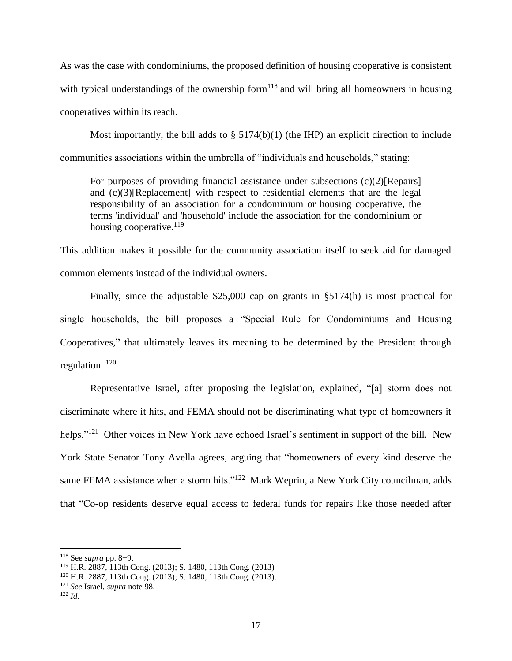As was the case with condominiums, the proposed definition of housing cooperative is consistent with typical understandings of the ownership form<sup>118</sup> and will bring all homeowners in housing cooperatives within its reach.

Most importantly, the bill adds to  $\S$  5174(b)(1) (the IHP) an explicit direction to include communities associations within the umbrella of "individuals and households," stating:

For purposes of providing financial assistance under subsections  $(c)(2)[\text{Repairs}]$ and (c)(3)[Replacement] with respect to residential elements that are the legal responsibility of an association for a condominium or housing cooperative, the terms 'individual' and 'household' include the association for the condominium or housing cooperative.<sup>119</sup>

This addition makes it possible for the community association itself to seek aid for damaged common elements instead of the individual owners.

Finally, since the adjustable \$25,000 cap on grants in §5174(h) is most practical for single households, the bill proposes a "Special Rule for Condominiums and Housing Cooperatives," that ultimately leaves its meaning to be determined by the President through regulation. <sup>120</sup>

Representative Israel, after proposing the legislation, explained, "[a] storm does not discriminate where it hits, and FEMA should not be discriminating what type of homeowners it helps."<sup>121</sup> Other voices in New York have echoed Israel's sentiment in support of the bill. New York State Senator Tony Avella agrees, arguing that "homeowners of every kind deserve the same FEMA assistance when a storm hits."<sup>122</sup> Mark Weprin, a New York City councilman, adds that "Co-op residents deserve equal access to federal funds for repairs like those needed after

<sup>118</sup> See *supra* pp. 8−9.

<sup>119</sup> H.R. 2887, 113th Cong. (2013); S. 1480, 113th Cong. (2013)

<sup>120</sup> H.R. 2887, 113th Cong. (2013); S. 1480, 113th Cong. (2013).

<sup>121</sup> *See* Israel, *supra* note [98.](#page-14-0)

<sup>122</sup> *Id.*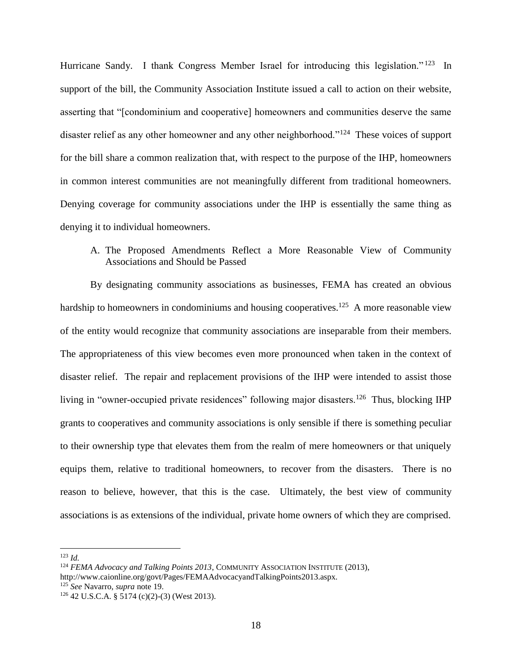Hurricane Sandy. I thank Congress Member Israel for introducing this legislation.<sup>"123</sup> In support of the bill, the Community Association Institute issued a call to action on their website, asserting that "[condominium and cooperative] homeowners and communities deserve the same disaster relief as any other homeowner and any other neighborhood."<sup>124</sup> These voices of support for the bill share a common realization that, with respect to the purpose of the IHP, homeowners in common interest communities are not meaningfully different from traditional homeowners. Denying coverage for community associations under the IHP is essentially the same thing as denying it to individual homeowners.

### A. The Proposed Amendments Reflect a More Reasonable View of Community Associations and Should be Passed

By designating community associations as businesses, FEMA has created an obvious hardship to homeowners in condominiums and housing cooperatives.<sup>125</sup> A more reasonable view of the entity would recognize that community associations are inseparable from their members. The appropriateness of this view becomes even more pronounced when taken in the context of disaster relief. The repair and replacement provisions of the IHP were intended to assist those living in "owner-occupied private residences" following major disasters.<sup>126</sup> Thus, blocking IHP grants to cooperatives and community associations is only sensible if there is something peculiar to their ownership type that elevates them from the realm of mere homeowners or that uniquely equips them, relative to traditional homeowners, to recover from the disasters. There is no reason to believe, however, that this is the case. Ultimately, the best view of community associations is as extensions of the individual, private home owners of which they are comprised.

<sup>123</sup> *Id.*

<sup>&</sup>lt;sup>124</sup> *FEMA Advocacy and Talking Points 2013*, COMMUNITY ASSOCIATION INSTITUTE (2013), http://www.caionline.org/govt/Pages/FEMAAdvocacyandTalkingPoints2013.aspx.

<sup>125</sup> *See* Navarro, *supra* note [19.](#page-3-2)

<sup>126</sup> 42 U.S.C.A. § 5174 (c)(2)-(3) (West 2013).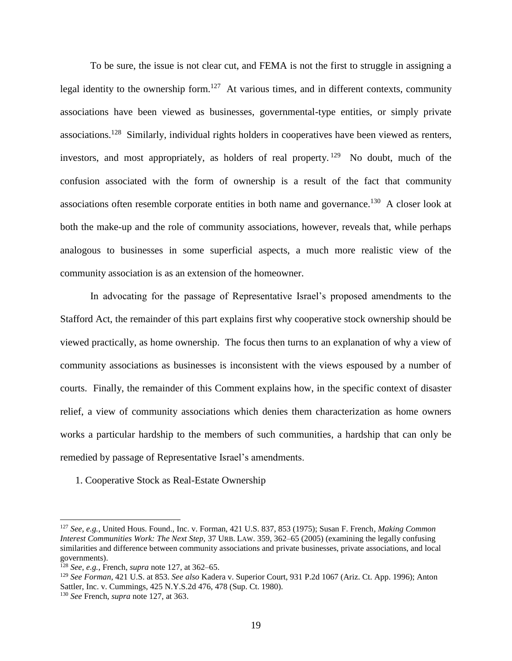<span id="page-19-0"></span>To be sure, the issue is not clear cut, and FEMA is not the first to struggle in assigning a legal identity to the ownership form.<sup>127</sup> At various times, and in different contexts, community associations have been viewed as businesses, governmental-type entities, or simply private associations.<sup>128</sup> Similarly, individual rights holders in cooperatives have been viewed as renters, investors, and most appropriately, as holders of real property.<sup>129</sup> No doubt, much of the confusion associated with the form of ownership is a result of the fact that community associations often resemble corporate entities in both name and governance.<sup>130</sup> A closer look at both the make-up and the role of community associations, however, reveals that, while perhaps analogous to businesses in some superficial aspects, a much more realistic view of the community association is as an extension of the homeowner.

In advocating for the passage of Representative Israel's proposed amendments to the Stafford Act, the remainder of this part explains first why cooperative stock ownership should be viewed practically, as home ownership. The focus then turns to an explanation of why a view of community associations as businesses is inconsistent with the views espoused by a number of courts. Finally, the remainder of this Comment explains how, in the specific context of disaster relief, a view of community associations which denies them characterization as home owners works a particular hardship to the members of such communities, a hardship that can only be remedied by passage of Representative Israel's amendments.

1. Cooperative Stock as Real-Estate Ownership

<sup>127</sup> *See, e.g.*, United Hous. Found., Inc. v. Forman, 421 U.S. 837, 853 (1975); Susan F. French*, Making Common Interest Communities Work: The Next Step,* 37 URB. LAW. 359, 362–65 (2005) (examining the legally confusing similarities and difference between community associations and private businesses, private associations, and local governments).

<sup>128</sup> *See, e.g.*, French, *supra* note [127,](#page-19-0) at 362–65.

<sup>129</sup> *See Forman*, 421 U.S. at 853. *See also* Kadera v. Superior Court, 931 P.2d 1067 (Ariz. Ct. App. 1996); Anton Sattler, Inc. v. Cummings, 425 N.Y.S.2d 476, 478 (Sup. Ct. 1980).

<sup>130</sup> *See* French, *supra* note [127,](#page-19-0) at 363.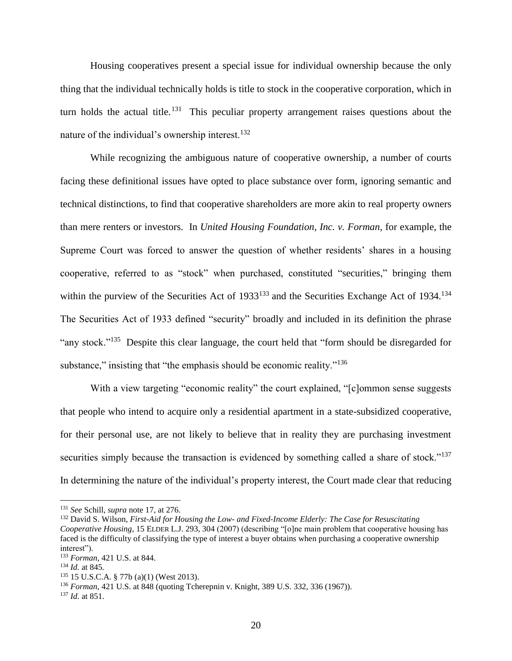Housing cooperatives present a special issue for individual ownership because the only thing that the individual technically holds is title to stock in the cooperative corporation, which in turn holds the actual title.<sup>131</sup> This peculiar property arrangement raises questions about the nature of the individual's ownership interest. $132$ 

<span id="page-20-0"></span>While recognizing the ambiguous nature of cooperative ownership, a number of courts facing these definitional issues have opted to place substance over form, ignoring semantic and technical distinctions, to find that cooperative shareholders are more akin to real property owners than mere renters or investors. In *United Housing Foundation, Inc. v. Forman*, for example, the Supreme Court was forced to answer the question of whether residents' shares in a housing cooperative, referred to as "stock" when purchased, constituted "securities," bringing them within the purview of the Securities Act of  $1933^{133}$  and the Securities Exchange Act of  $1934$ .<sup>134</sup> The Securities Act of 1933 defined "security" broadly and included in its definition the phrase "any stock."<sup>135</sup> Despite this clear language, the court held that "form should be disregarded for substance," insisting that "the emphasis should be economic reality."<sup>136</sup>

With a view targeting "economic reality" the court explained, "[c]ommon sense suggests that people who intend to acquire only a residential apartment in a state-subsidized cooperative, for their personal use, are not likely to believe that in reality they are purchasing investment securities simply because the transaction is evidenced by something called a share of stock."<sup>137</sup> In determining the nature of the individual's property interest, the Court made clear that reducing

 $\overline{\phantom{a}}$ 

<sup>136</sup> *Forman*, 421 U.S. at 848 (quoting Tcherepnin v. Knight, 389 U.S. 332, 336 (1967)).

<sup>131</sup> *See* Schill, *supra* note [17,](#page-3-3) at 276.

<sup>132</sup> David S. Wilson, *First-Aid for Housing the Low- and Fixed-Income Elderly: The Case for Resuscitating Cooperative Housing*, 15 ELDER L.J. 293, 304 (2007) (describing "[o]ne main problem that cooperative housing has faced is the difficulty of classifying the type of interest a buyer obtains when purchasing a cooperative ownership interest").

<sup>133</sup> *Forman*, 421 U.S. at 844.

<sup>134</sup> *Id.* at 845*.*

<sup>135</sup> 15 U.S.C.A. § 77b (a)(1) (West 2013).

<sup>137</sup> *Id.* at 851.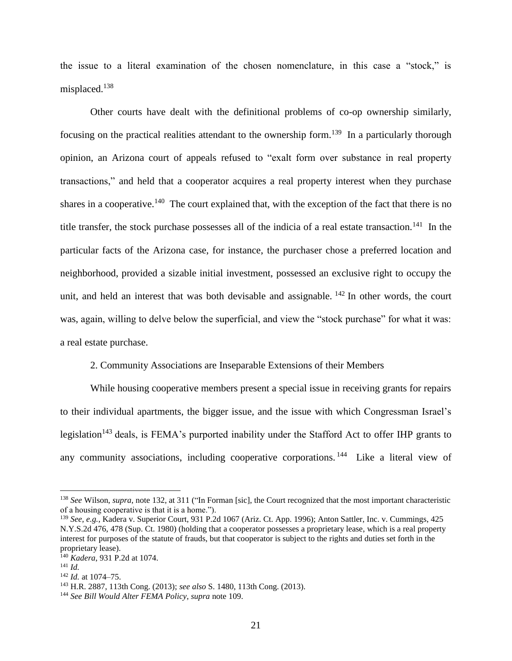the issue to a literal examination of the chosen nomenclature, in this case a "stock," is misplaced.<sup>138</sup>

Other courts have dealt with the definitional problems of co-op ownership similarly, focusing on the practical realities attendant to the ownership form.<sup>139</sup> In a particularly thorough opinion, an Arizona court of appeals refused to "exalt form over substance in real property transactions," and held that a cooperator acquires a real property interest when they purchase shares in a cooperative.<sup>140</sup> The court explained that, with the exception of the fact that there is no title transfer, the stock purchase possesses all of the indicia of a real estate transaction.<sup>141</sup> In the particular facts of the Arizona case, for instance, the purchaser chose a preferred location and neighborhood, provided a sizable initial investment, possessed an exclusive right to occupy the unit, and held an interest that was both devisable and assignable. <sup>142</sup> In other words, the court was, again, willing to delve below the superficial, and view the "stock purchase" for what it was: a real estate purchase.

#### 2. Community Associations are Inseparable Extensions of their Members

While housing cooperative members present a special issue in receiving grants for repairs to their individual apartments, the bigger issue, and the issue with which Congressman Israel's legislation<sup>143</sup> deals, is FEMA's purported inability under the Stafford Act to offer IHP grants to any community associations, including cooperative corporations.<sup>144</sup> Like a literal view of

<sup>138</sup> *See* Wilson, *supra*, note [132,](#page-20-0) at 311 ("In Forman [sic], the Court recognized that the most important characteristic of a housing cooperative is that it is a home.").

<sup>139</sup> *See, e.g.*, Kadera v. Superior Court, 931 P.2d 1067 (Ariz. Ct. App. 1996); Anton Sattler, Inc. v. Cummings, 425 N.Y.S.2d 476, 478 (Sup. Ct. 1980) (holding that a cooperator possesses a proprietary lease, which is a real property interest for purposes of the statute of frauds, but that cooperator is subject to the rights and duties set forth in the proprietary lease).

<sup>140</sup> *Kadera*, 931 P.2d at 1074.

<sup>141</sup> *Id.*

<sup>142</sup> *Id.* at 1074–75.

<sup>143</sup> H.R. 2887, 113th Cong. (2013); *see also* S. 1480, 113th Cong. (2013).

<sup>144</sup> *See Bill Would Alter FEMA Policy*, *supra* note [109.](#page-15-0)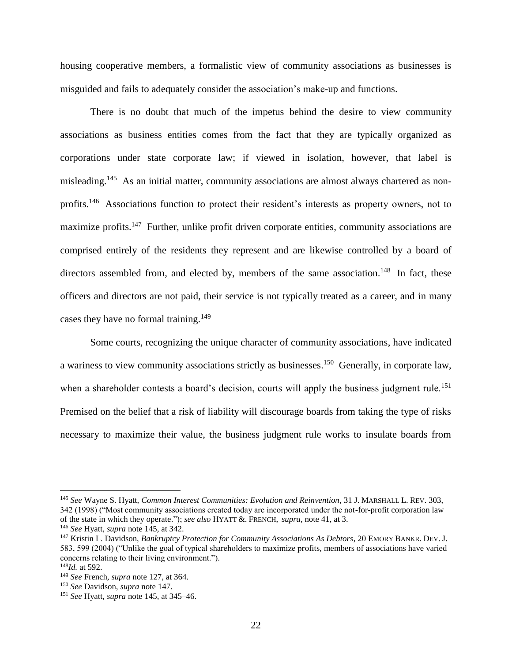housing cooperative members, a formalistic view of community associations as businesses is misguided and fails to adequately consider the association's make-up and functions.

<span id="page-22-1"></span><span id="page-22-0"></span>There is no doubt that much of the impetus behind the desire to view community associations as business entities comes from the fact that they are typically organized as corporations under state corporate law; if viewed in isolation, however, that label is misleading.<sup>145</sup> As an initial matter, community associations are almost always chartered as nonprofits.<sup>146</sup> Associations function to protect their resident's interests as property owners, not to maximize profits.<sup>147</sup> Further, unlike profit driven corporate entities, community associations are comprised entirely of the residents they represent and are likewise controlled by a board of directors assembled from, and elected by, members of the same association.<sup>148</sup> In fact, these officers and directors are not paid, their service is not typically treated as a career, and in many cases they have no formal training.<sup>149</sup>

Some courts, recognizing the unique character of community associations, have indicated a wariness to view community associations strictly as businesses.<sup>150</sup> Generally, in corporate law, when a shareholder contests a board's decision, courts will apply the business judgment rule.<sup>151</sup> Premised on the belief that a risk of liability will discourage boards from taking the type of risks necessary to maximize their value, the business judgment rule works to insulate boards from

<sup>145</sup> *See* Wayne S. Hyatt, *Common Interest Communities: Evolution and Reinvention*, 31 J. MARSHALL L. REV. 303, 342 (1998) ("Most community associations created today are incorporated under the not-for-profit corporation law of the state in which they operate."); *see also* HYATT &. FRENCH, *supra,* note [41,](#page-7-0) at 3.

<sup>146</sup> *See* Hyatt, *supra* note [145,](#page-22-0) at 342.

<sup>147</sup> Kristin L. Davidson, *Bankruptcy Protection for Community Associations As Debtors*, 20 EMORY BANKR. DEV. J. 583, 599 (2004) ("Unlike the goal of typical shareholders to maximize profits, members of associations have varied concerns relating to their living environment.").

<sup>148</sup>*Id.* at 592.

<sup>149</sup> *See* French, *supra* note [127,](#page-19-0) at 364.

<sup>150</sup> *See* Davidson, *supra* note [147.](#page-22-1)

<sup>151</sup> *See* Hyatt, *supra* note [145,](#page-22-0) at 345–46.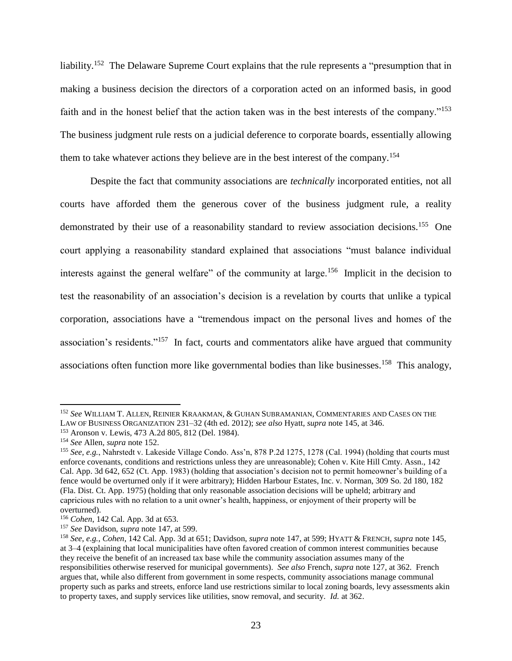<span id="page-23-0"></span>liability.<sup>152</sup> The Delaware Supreme Court explains that the rule represents a "presumption that in making a business decision the directors of a corporation acted on an informed basis, in good faith and in the honest belief that the action taken was in the best interests of the company."<sup>153</sup> The business judgment rule rests on a judicial deference to corporate boards, essentially allowing them to take whatever actions they believe are in the best interest of the company.<sup>154</sup>

Despite the fact that community associations are *technically* incorporated entities, not all courts have afforded them the generous cover of the business judgment rule, a reality demonstrated by their use of a reasonability standard to review association decisions.<sup>155</sup> One court applying a reasonability standard explained that associations "must balance individual interests against the general welfare" of the community at large.<sup>156</sup> Implicit in the decision to test the reasonability of an association's decision is a revelation by courts that unlike a typical corporation, associations have a "tremendous impact on the personal lives and homes of the association's residents."<sup>157</sup> In fact, courts and commentators alike have argued that community associations often function more like governmental bodies than like businesses.<sup>158</sup> This analogy,

<sup>152</sup> *See* WILLIAM T. ALLEN, REINIER KRAAKMAN, & GUHAN SUBRAMANIAN, COMMENTARIES AND CASES ON THE LAW OF BUSINESS ORGANIZATION 231–32 (4th ed. 2012); *see also* Hyatt, *supra* note [145,](#page-22-0) at 346.

<sup>153</sup> Aronson v. Lewis, 473 A.2d 805, 812 (Del. 1984).

<sup>154</sup> *See* Allen*, supra* note [152.](#page-23-0)

<sup>155</sup> *See, e.g.*, Nahrstedt v. Lakeside Village Condo. Ass'n, 878 P.2d 1275, 1278 (Cal. 1994) (holding that courts must enforce covenants, conditions and restrictions unless they are unreasonable); Cohen v. Kite Hill Cmty. Assn., 142 Cal. App. 3d 642, 652 (Ct. App. 1983) (holding that association's decision not to permit homeowner's building of a fence would be overturned only if it were arbitrary); Hidden Harbour Estates, Inc. v. Norman, 309 So. 2d 180, 182 (Fla. Dist. Ct. App. 1975) (holding that only reasonable association decisions will be upheld; arbitrary and capricious rules with no relation to a unit owner's health, happiness, or enjoyment of their property will be overturned).

<sup>156</sup> *Cohen*, 142 Cal. App. 3d at 653.

<sup>157</sup> *See* Davidson, *supra* note [147,](#page-22-1) at 599.

<sup>158</sup> *See, e.g.*, *Cohen*, 142 Cal. App. 3d at 651; Davidson, *supra* note [147,](#page-22-1) at 599; HYATT & FRENCH, *supra* note [145,](#page-22-0) at 3–4 (explaining that local municipalities have often favored creation of common interest communities because they receive the benefit of an increased tax base while the community association assumes many of the responsibilities otherwise reserved for municipal governments). *See also* French, *supra* note [127,](#page-19-0) at 362. French argues that, while also different from government in some respects, community associations manage communal property such as parks and streets, enforce land use restrictions similar to local zoning boards, levy assessments akin to property taxes, and supply services like utilities, snow removal, and security. *Id.* at 362.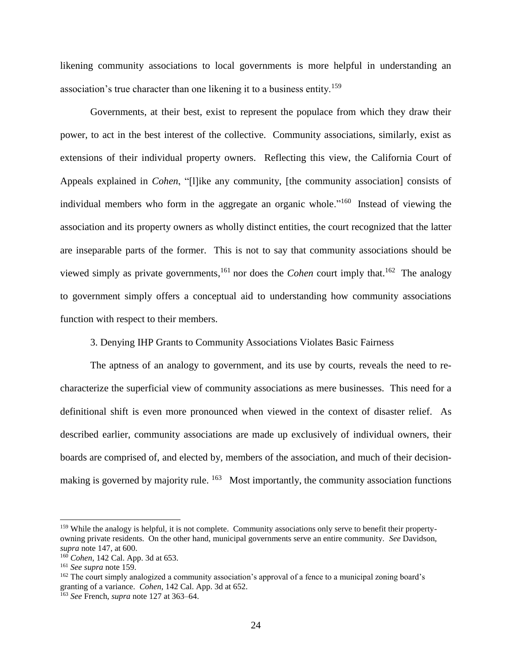<span id="page-24-0"></span>likening community associations to local governments is more helpful in understanding an association's true character than one likening it to a business entity.<sup>159</sup>

Governments, at their best, exist to represent the populace from which they draw their power, to act in the best interest of the collective. Community associations, similarly, exist as extensions of their individual property owners. Reflecting this view, the California Court of Appeals explained in *Cohen*, "[l]ike any community, [the community association] consists of individual members who form in the aggregate an organic whole."<sup>160</sup> Instead of viewing the association and its property owners as wholly distinct entities, the court recognized that the latter are inseparable parts of the former. This is not to say that community associations should be viewed simply as private governments,<sup>161</sup> nor does the *Cohen* court imply that.<sup>162</sup> The analogy to government simply offers a conceptual aid to understanding how community associations function with respect to their members.

3. Denying IHP Grants to Community Associations Violates Basic Fairness

The aptness of an analogy to government, and its use by courts, reveals the need to recharacterize the superficial view of community associations as mere businesses. This need for a definitional shift is even more pronounced when viewed in the context of disaster relief. As described earlier, community associations are made up exclusively of individual owners, their boards are comprised of, and elected by, members of the association, and much of their decisionmaking is governed by majority rule. <sup>163</sup> Most importantly, the community association functions

<sup>&</sup>lt;sup>159</sup> While the analogy is helpful, it is not complete. Community associations only serve to benefit their propertyowning private residents. On the other hand, municipal governments serve an entire community. *See* Davidson, *supra* note [147,](#page-22-1) at 600.

<sup>160</sup> *Cohen*, 142 Cal. App. 3d at 653.

<sup>161</sup> *See supra* not[e 159.](#page-24-0)

<sup>162</sup> The court simply analogized a community association's approval of a fence to a municipal zoning board's granting of a variance. *Cohen*, 142 Cal. App. 3d at 652.

<sup>163</sup> *See* French, *supra* note [127](#page-19-0) at 363–64.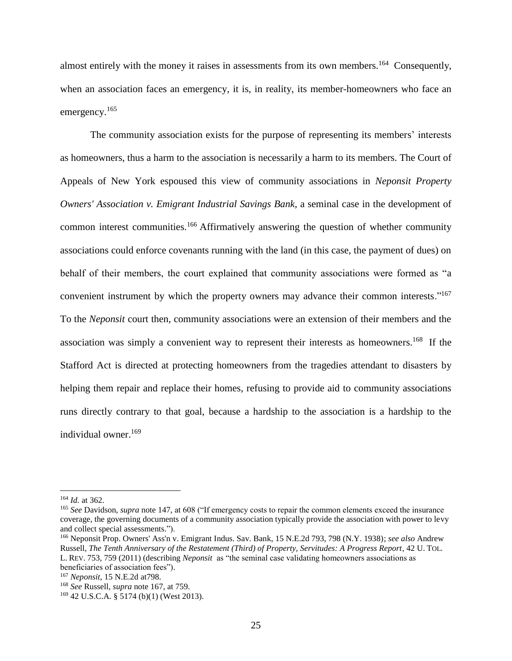almost entirely with the money it raises in assessments from its own members.<sup>164</sup> Consequently, when an association faces an emergency, it is, in reality, its member-homeowners who face an emergency.<sup>165</sup>

<span id="page-25-0"></span>The community association exists for the purpose of representing its members' interests as homeowners, thus a harm to the association is necessarily a harm to its members. The Court of Appeals of New York espoused this view of community associations in *Neponsit Property Owners' Association v. Emigrant Industrial Savings Bank*, a seminal case in the development of common interest communities.<sup>166</sup> Affirmatively answering the question of whether community associations could enforce covenants running with the land (in this case, the payment of dues) on behalf of their members, the court explained that community associations were formed as "a convenient instrument by which the property owners may advance their common interests."<sup>167</sup> To the *Neponsit* court then, community associations were an extension of their members and the association was simply a convenient way to represent their interests as homeowners.<sup>168</sup> If the Stafford Act is directed at protecting homeowners from the tragedies attendant to disasters by helping them repair and replace their homes, refusing to provide aid to community associations runs directly contrary to that goal, because a hardship to the association is a hardship to the individual owner. $169$ 

<sup>164</sup> *Id.* at 362.

<sup>&</sup>lt;sup>165</sup> *See* Davidson, *supra* note [147,](#page-22-1) at 608 ("If emergency costs to repair the common elements exceed the insurance coverage, the governing documents of a community association typically provide the association with power to levy and collect special assessments.").

<sup>166</sup> Neponsit Prop. Owners' Ass'n v. Emigrant Indus. Sav. Bank, 15 N.E.2d 793, 798 (N.Y. 1938); *see also* Andrew Russell, *The Tenth Anniversary of the Restatement (Third) of Property, Servitudes: A Progress Report*, 42 U. TOL. L. REV. 753, 759 (2011) (describing *Neponsit* as "the seminal case validating homeowners associations as beneficiaries of association fees").

<sup>167</sup> *Neponsit*, 15 N.E.2d at798.

<sup>168</sup> *See* Russell, *supra* note [167,](#page-25-0) at 759.

<sup>169</sup> 42 U.S.C.A. § 5174 (b)(1) (West 2013).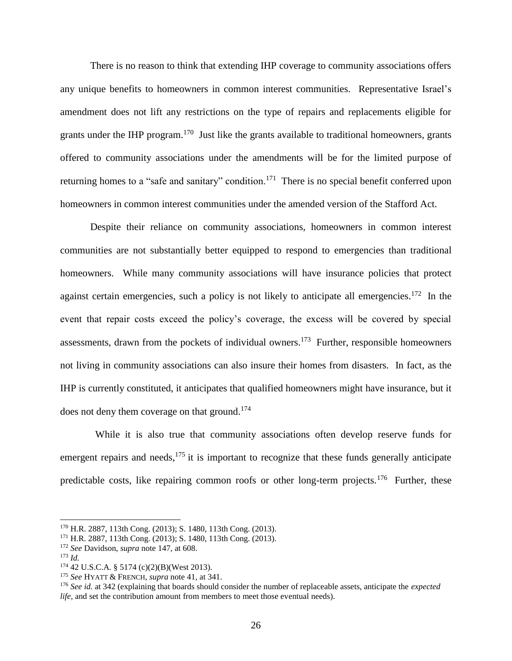There is no reason to think that extending IHP coverage to community associations offers any unique benefits to homeowners in common interest communities. Representative Israel's amendment does not lift any restrictions on the type of repairs and replacements eligible for grants under the IHP program.<sup>170</sup> Just like the grants available to traditional homeowners, grants offered to community associations under the amendments will be for the limited purpose of returning homes to a "safe and sanitary" condition.<sup>171</sup> There is no special benefit conferred upon homeowners in common interest communities under the amended version of the Stafford Act.

Despite their reliance on community associations, homeowners in common interest communities are not substantially better equipped to respond to emergencies than traditional homeowners. While many community associations will have insurance policies that protect against certain emergencies, such a policy is not likely to anticipate all emergencies.<sup>172</sup> In the event that repair costs exceed the policy's coverage, the excess will be covered by special assessments, drawn from the pockets of individual owners.<sup>173</sup> Further, responsible homeowners not living in community associations can also insure their homes from disasters. In fact, as the IHP is currently constituted, it anticipates that qualified homeowners might have insurance, but it does not deny them coverage on that ground.<sup>174</sup>

 While it is also true that community associations often develop reserve funds for emergent repairs and needs,<sup>175</sup> it is important to recognize that these funds generally anticipate predictable costs, like repairing common roofs or other long-term projects.<sup>176</sup> Further, these

<sup>170</sup> H.R. 2887, 113th Cong. (2013); S. 1480, 113th Cong. (2013).

<sup>171</sup> H.R. 2887, 113th Cong. (2013); S. 1480, 113th Cong. (2013).

<sup>172</sup> *See* Davidson, *supra* note [147,](#page-22-1) at 608.

<sup>173</sup> *Id.*

 $174$  42 U.S.C.A. § 5174 (c)(2)(B)(West 2013).

<sup>175</sup> *See* HYATT & FRENCH, *supra* note [41,](#page-7-0) at 341.

<sup>176</sup> *See id.* at 342 (explaining that boards should consider the number of replaceable assets, anticipate the *expected life*, and set the contribution amount from members to meet those eventual needs).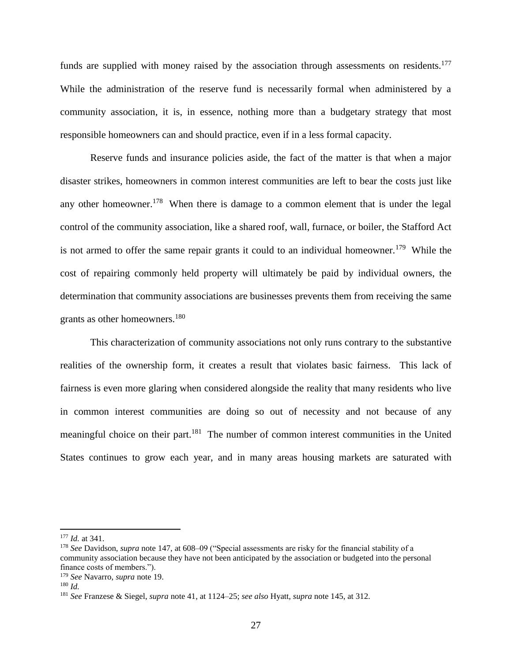funds are supplied with money raised by the association through assessments on residents.<sup>177</sup> While the administration of the reserve fund is necessarily formal when administered by a community association, it is, in essence, nothing more than a budgetary strategy that most responsible homeowners can and should practice, even if in a less formal capacity.

Reserve funds and insurance policies aside, the fact of the matter is that when a major disaster strikes, homeowners in common interest communities are left to bear the costs just like any other homeowner.<sup>178</sup> When there is damage to a common element that is under the legal control of the community association, like a shared roof, wall, furnace, or boiler, the Stafford Act is not armed to offer the same repair grants it could to an individual homeowner.<sup>179</sup> While the cost of repairing commonly held property will ultimately be paid by individual owners, the determination that community associations are businesses prevents them from receiving the same grants as other homeowners.<sup>180</sup>

This characterization of community associations not only runs contrary to the substantive realities of the ownership form, it creates a result that violates basic fairness. This lack of fairness is even more glaring when considered alongside the reality that many residents who live in common interest communities are doing so out of necessity and not because of any meaningful choice on their part.<sup>181</sup> The number of common interest communities in the United States continues to grow each year, and in many areas housing markets are saturated with

<sup>177</sup> *Id.* at 341.

<sup>178</sup> *See* Davidson, *supra* note [147,](#page-22-1) at 608–09 ("Special assessments are risky for the financial stability of a community association because they have not been anticipated by the association or budgeted into the personal finance costs of members.").

<sup>179</sup> *See* Navarro, *supra* note [19.](#page-3-2)

<sup>180</sup> *Id.*

<sup>181</sup> *See* Franzese & Siegel, *supra* note [41,](#page-7-0) at 1124–25; *see also* Hyatt, *supra* not[e 145,](#page-22-0) at 312.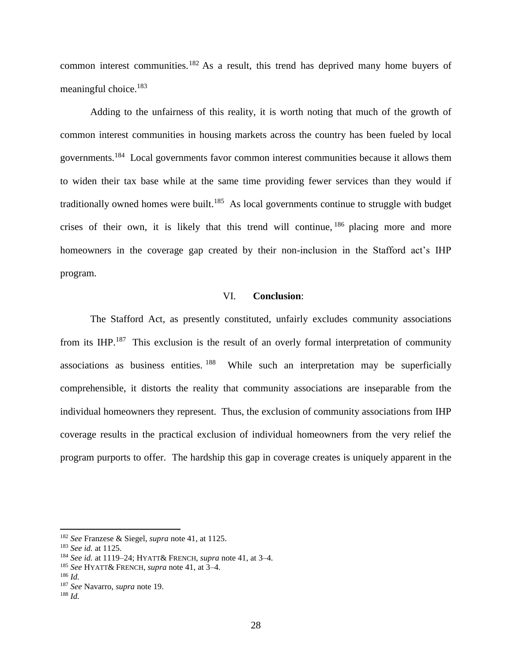common interest communities.<sup>182</sup> As a result, this trend has deprived many home buyers of meaningful choice.<sup>183</sup>

Adding to the unfairness of this reality, it is worth noting that much of the growth of common interest communities in housing markets across the country has been fueled by local governments.<sup>184</sup> Local governments favor common interest communities because it allows them to widen their tax base while at the same time providing fewer services than they would if traditionally owned homes were built.<sup>185</sup> As local governments continue to struggle with budget crises of their own, it is likely that this trend will continue, <sup>186</sup> placing more and more homeowners in the coverage gap created by their non-inclusion in the Stafford act's IHP program.

#### VI. **Conclusion**:

The Stafford Act, as presently constituted, unfairly excludes community associations from its IHP.<sup>187</sup> This exclusion is the result of an overly formal interpretation of community associations as business entities. <sup>188</sup> While such an interpretation may be superficially comprehensible, it distorts the reality that community associations are inseparable from the individual homeowners they represent. Thus, the exclusion of community associations from IHP coverage results in the practical exclusion of individual homeowners from the very relief the program purports to offer. The hardship this gap in coverage creates is uniquely apparent in the

<sup>182</sup> *See* Franzese & Siegel, *supra* note [41,](#page-7-0) at 1125.

<sup>183</sup> *See id.* at 1125.

<sup>184</sup> *See id.* at 1119–24; HYATT& FRENCH, *supra* note [41,](#page-7-0) at 3–4.

<sup>185</sup> *See* HYATT& FRENCH, *supra* note [41,](#page-7-0) at 3–4.

<sup>186</sup> *Id.*

<sup>187</sup> *See* Navarro, *supra* note [19.](#page-3-2)

<sup>188</sup> *Id.*